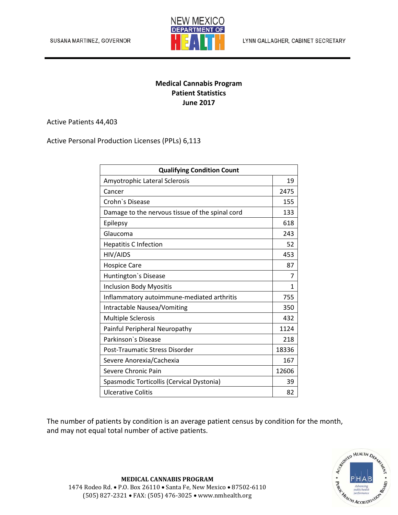

## **Medical Cannabis Program Patient Statistics June 2017**

Active Patients 44,403

Active Personal Production Licenses (PPLs) 6,113

| <b>Qualifying Condition Count</b>               |       |
|-------------------------------------------------|-------|
| Amyotrophic Lateral Sclerosis                   | 19    |
| Cancer                                          | 2475  |
| Crohn's Disease                                 | 155   |
| Damage to the nervous tissue of the spinal cord | 133   |
| Epilepsy                                        | 618   |
| Glaucoma                                        | 243   |
| <b>Hepatitis C Infection</b>                    | 52    |
| HIV/AIDS                                        | 453   |
| <b>Hospice Care</b>                             | 87    |
| Huntington's Disease                            | 7     |
| <b>Inclusion Body Myositis</b>                  | 1     |
| Inflammatory autoimmune-mediated arthritis      | 755   |
| Intractable Nausea/Vomiting                     | 350   |
| <b>Multiple Sclerosis</b>                       | 432   |
| Painful Peripheral Neuropathy                   | 1124  |
| Parkinson's Disease                             | 218   |
| Post-Traumatic Stress Disorder                  | 18336 |
| Severe Anorexia/Cachexia                        | 167   |
| Severe Chronic Pain                             | 12606 |
| Spasmodic Torticollis (Cervical Dystonia)       | 39    |
| Ulcerative Colitis                              | 82    |

The number of patients by condition is an average patient census by condition for the month, and may not equal total number of active patients.